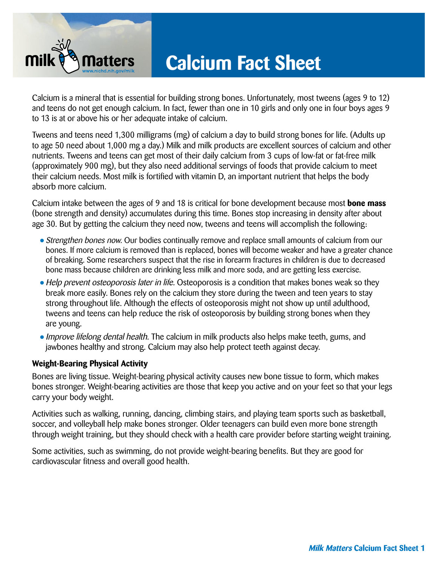

## **Calcium Fact Sheet**

Calcium is a mineral that is essential for building strong bones. Unfortunately, most tweens (ages 9 to 12) and teens do not get enough calcium. In fact, fewer than one in 10 girls and only one in four boys ages 9 to 13 is at or above his or her adequate intake of calcium.

Tweens and teens need 1,300 milligrams (mg) of calcium a day to build strong bones for life. (Adults up to age 50 need about 1,000 mg a day.) Milk and milk products are excellent sources of calcium and other nutrients. Tweens and teens can get most of their daily calcium from 3 cups of low-fat or fat-free milk (approximately 900 mg), but they also need additional servings of foods that provide calcium to meet their calcium needs. Most milk is fortified with vitamin D, an important nutrient that helps the body absorb more calcium.

Calcium intake between the ages of 9 and 18 is critical for bone development because most **bone mass**  (bone strength and density) accumulates during this time. Bones stop increasing in density after about age 30. But by getting the calcium they need now, tweens and teens will accomplish the following:

- Strengthen bones now. Our bodies continually remove and replace small amounts of calcium from our bones. If more calcium is removed than is replaced, bones will become weaker and have a greater chance of breaking. Some researchers suspect that the rise in forearm fractures in children is due to decreased bone mass because children are drinking less milk and more soda, and are getting less exercise.
- Help prevent osteoporosis later in life. Osteoporosis is a condition that makes bones weak so they break more easily. Bones rely on the calcium they store during the tween and teen years to stay strong throughout life. Although the effects of osteoporosis might not show up until adulthood, tweens and teens can help reduce the risk of osteoporosis by building strong bones when they are young.
- Improve lifelong dental health. The calcium in milk products also helps make teeth, gums, and jawbones healthy and strong. Calcium may also help protect teeth against decay.

### **Weight-Bearing Physical Activity**

Bones are living tissue. Weight-bearing physical activity causes new bone tissue to form, which makes bones stronger. Weight-bearing activities are those that keep you active and on your feet so that your legs carry your body weight.

Activities such as walking, running, dancing, climbing stairs, and playing team sports such as basketball, soccer, and volleyball help make bones stronger. Older teenagers can build even more bone strength through weight training, but they should check with a health care provider before starting weight training.

Some activities, such as swimming, do not provide weight-bearing benefits. But they are good for cardiovascular fitness and overall good health.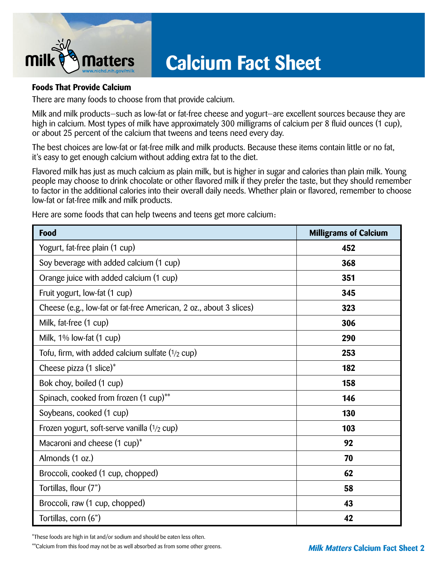

# **Calcium Fact Sheet**

### **Foods That Provide Calcium**

There are many foods to choose from that provide calcium.

Milk and milk products—such as low-fat or fat-free cheese and yogurt—are excellent sources because they are high in calcium. Most types of milk have approximately 300 milligrams of calcium per 8 fluid ounces (1 cup), or about 25 percent of the calcium that tweens and teens need every day.

The best choices are low-fat or fat-free milk and milk products. Because these items contain little or no fat, it's easy to get enough calcium without adding extra fat to the diet.

Flavored milk has just as much calcium as plain milk, but is higher in sugar and calories than plain milk. Young people may choose to drink chocolate or other flavored milk if they prefer the taste, but they should remember to factor in the additional calories into their overall daily needs. Whether plain or flavored, remember to choose low-fat or fat-free milk and milk products.

Here are some foods that can help tweens and teens get more calcium:

| Food                                                               | <b>Milligrams of Calcium</b> |
|--------------------------------------------------------------------|------------------------------|
| Yogurt, fat-free plain (1 cup)                                     | 452                          |
| Soy beverage with added calcium (1 cup)                            | 368                          |
| Orange juice with added calcium (1 cup)                            | 351                          |
| Fruit yogurt, low-fat (1 cup)                                      | 345                          |
| Cheese (e.g., low-fat or fat-free American, 2 oz., about 3 slices) | 323                          |
| Milk, fat-free (1 cup)                                             | 306                          |
| Milk, 1% low-fat (1 cup)                                           | 290                          |
| Tofu, firm, with added calcium sulfate $(1/2$ cup)                 | 253                          |
| Cheese pizza $(1 \text{ slice})^*$                                 | 182                          |
| Bok choy, boiled (1 cup)                                           | 158                          |
| Spinach, cooked from frozen (1 cup)**                              | 146                          |
| Soybeans, cooked (1 cup)                                           | 130                          |
| Frozen yogurt, soft-serve vanilla (1/2 cup)                        | 103                          |
| Macaroni and cheese (1 cup)*                                       | 92                           |
| Almonds (1 oz.)                                                    | 70                           |
| Broccoli, cooked (1 cup, chopped)                                  | 62                           |
| Tortillas, flour (7")                                              | 58                           |
| Broccoli, raw (1 cup, chopped)                                     | 43                           |
| Tortillas, corn (6")                                               | 42                           |

\*These foods are high in fat and/or sodium and should be eaten less often.

\*\*Calcium from this food may not be as well absorbed as from some other greens. **Milk Matters Calcium Fact Sheet 2**